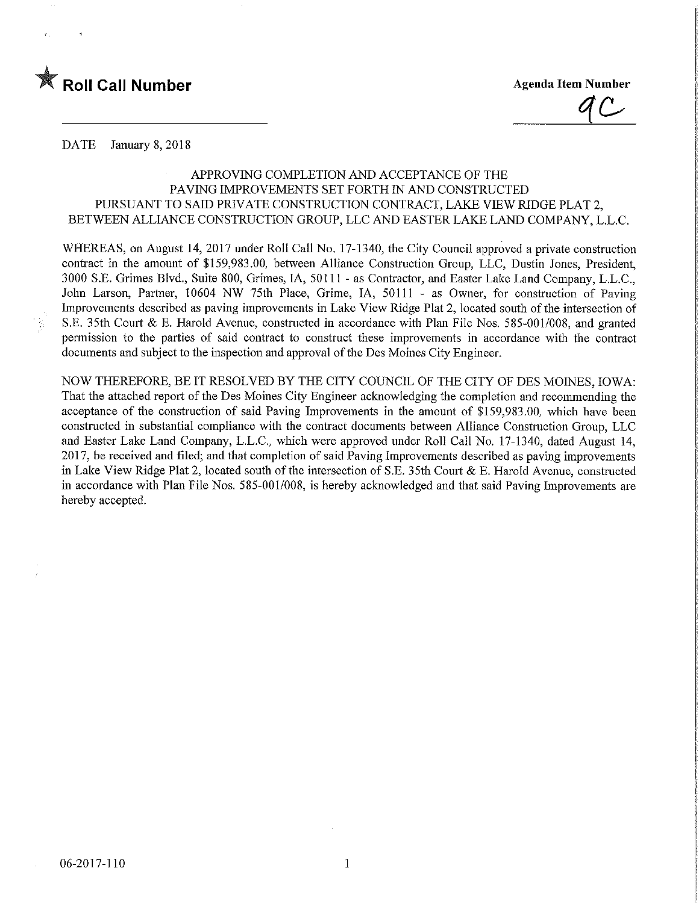

**Agenda Item Number** 

DATE January 8, 2018

## APPROVING COMPLETION AND ACCEPTANCE OF THE PAVmG IMPROVEMENTS SET FORTH IN AND CONSTRUCTED PURSUANT TO SAID PRIVATE CONSTRUCTION CONTRACT, LAKE VIEW RIDGE PLAT 2, BETWEEN ALLIANCE CONSTRUCTION GROUP, LLC AND EASTER LAKE LAND COMPANY, L.L.C.

WHEREAS, on August 14, 2017 under Roll Call No. 17-1340, the City Council approved a private construction contract in the amount of \$159,983.00, between Alliance Construction Group, LLC, Dustin Jones, President, 3000 S.E. Grimes Blvd., Suite 800, Grimes, IA, 50111 - as Contractor, and Easter Lake Land Company, L.L.C., John Larson, Partner, 10604 NW 75th Place, Grime, IA, 50111 - as Owner, for construction of Paving Improvements described as paving improvements in Lake View Ridge Plat 2, located south of the intersection of S.E. 35th Court & E. Harold Avenue, constructed in accordance with Plan File Nos. 585-001/008, and granted permission to the parties of said contract to construct these improvements in accordance with the contract documents and subject to the inspection and approval of the Des Moines City Engineer.

NOW THEREFORE, BE IT RESOLVED BY THE CITY COUNCIL OF THE CITY OF DES MOINES, IOWA: That the attached report of the Des Moines City Engineer acknowledging the completion and recommending the acceptance of the construction of said Paving Improvements in the amount of \$159,983.00, which have been constructed in substantial compliance with the contract documents between Alliance Construction Group, LLC and Easter Lake Land Company, L.L.C., which were approved under Roll Call No. 17-1340, dated August 14, 2017, be received and filed; and that completion of said Paving Improvements described as paving improvements in Lake View Ridge Plat 2, located south of the intersection of S.E. 35th Court & E. Harold Avenue, constructed m accordance with Plan File Nos. 585-001/008, is hereby acknowledged and that said Paving Improvements are hereby accepted.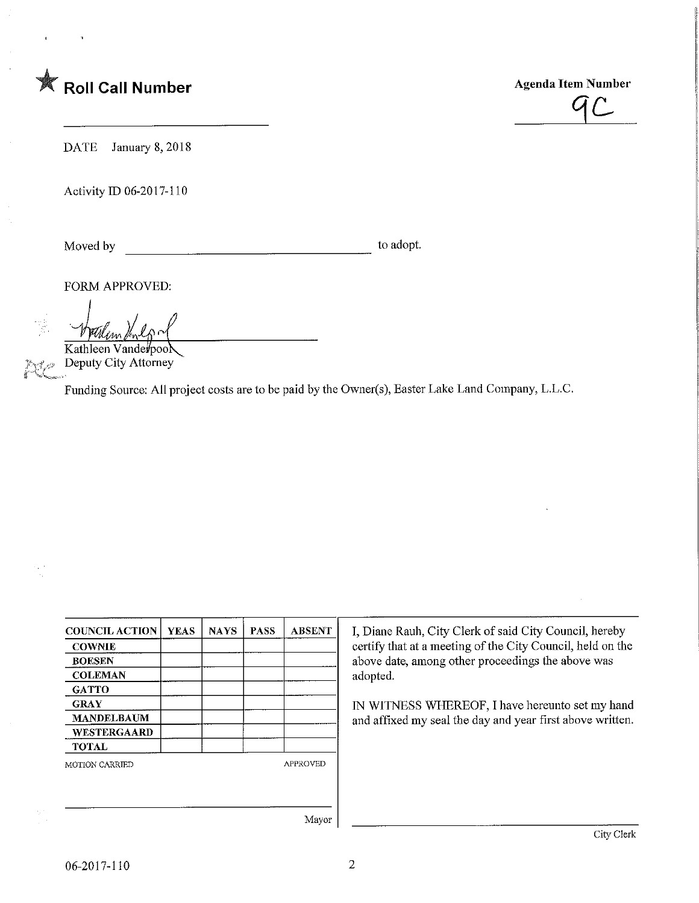

 $4C$ 

DATE January 8, 2018

Activity ID 06-2017-110

Moved by to adopt.

FORM APPROVED:

Kathleen Vanderpool Deputy City Attorney  $\mathbf{P}^{\text{max}}$ 

'^"^Zy^-^- '•

Funding Source: All project costs are to be paid by the Owner(s), Easter Lake Land Company, L.L.C.

| <b>COUNCIL ACTION</b> | <b>YEAS</b> | <b>NAYS</b> | <b>PASS</b>     | <b>ABSENT</b> |
|-----------------------|-------------|-------------|-----------------|---------------|
| <b>COWNIE</b>         |             |             |                 |               |
| <b>BOESEN</b>         |             |             |                 |               |
| <b>COLEMAN</b>        |             |             |                 |               |
| <b>GATTO</b>          |             |             |                 |               |
| <b>GRAY</b>           |             |             |                 |               |
| <b>MANDELBAUM</b>     |             |             |                 |               |
| WESTERGAARD           |             |             |                 |               |
| <b>TOTAL</b>          |             |             |                 |               |
| MOTION CARRIED        |             |             | <b>APPROVED</b> |               |
|                       |             |             |                 |               |
|                       |             |             |                 |               |
|                       |             |             |                 | $X = 1$       |

I, Diane Rauh, City Clerk of said City Council, hereby certify that at a meeting of the City Council, held on the above date, among other proceedings the above was adopted.

IN WITNESS WHEREOF, I have hereunto set my hand and affixed my seal the day and year first above written.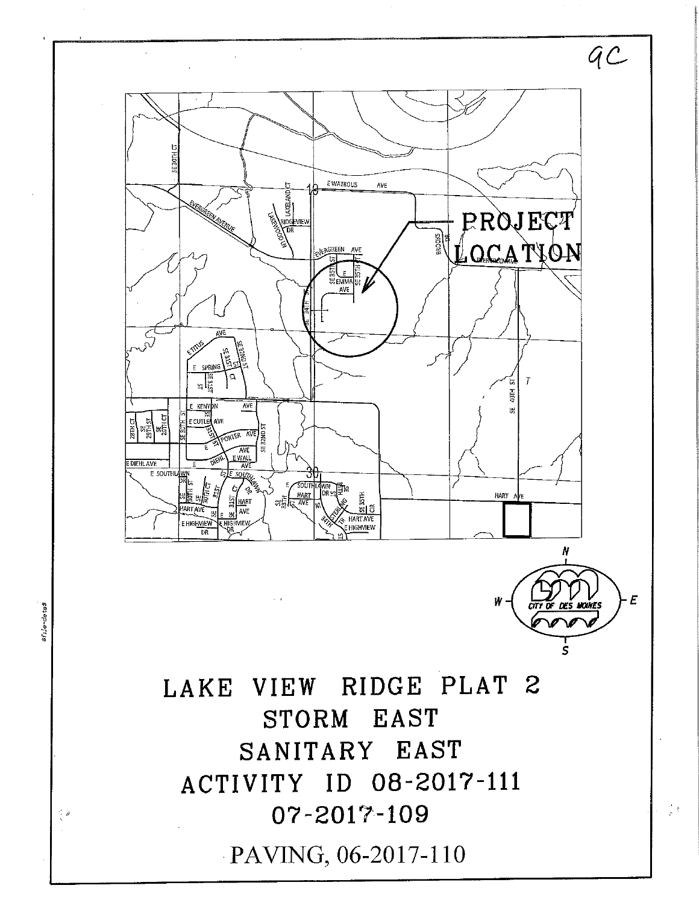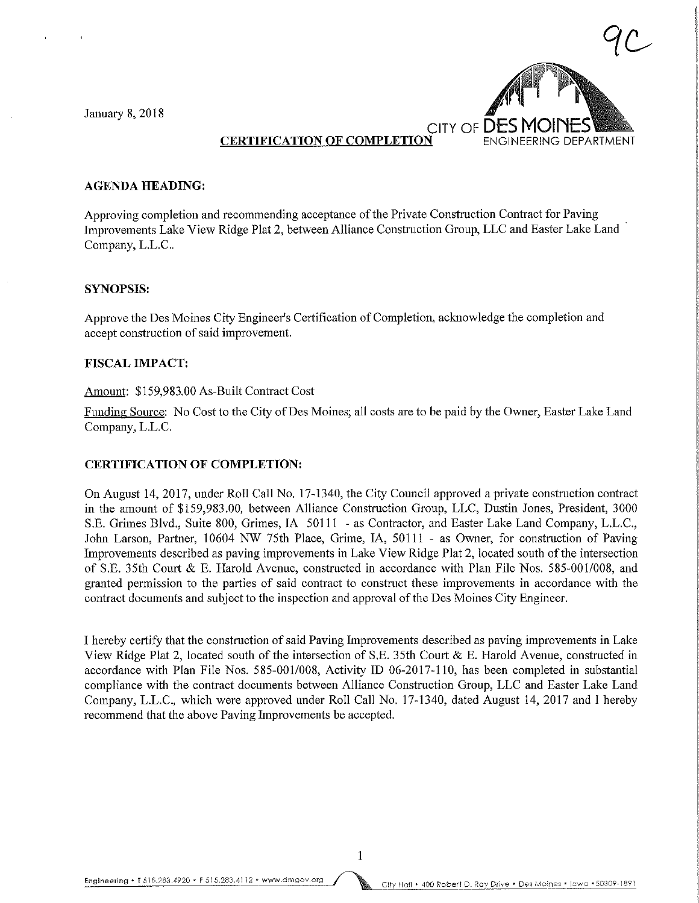January 8,2018



## CERTIFICATION OF COMPLETION ENGINEERING DEPARTMENT

#### AGENDA HEADING:

Approving completion and recommending acceptance of the Private Construction Contract for Paving Improvements Lake View Ridge Plat 2, between Alliance Construction Group, LLC and Easter Lake Land Company, L.L.C..

### SYNOPSIS:

Approve the Des Momes City Engineer's Certification of Completion, acknowledge the completion and accept construction of said improvement.

#### FISCAL IMPACT:

#### Amount: \$159,983.00 As-Built Contract Cost

Funding Source: No Cost to the City of Des Moines; all costs are to be paid by the Owner, Easter Lake Land Company, L.L.C.

#### CERTIFICATION OF COMPLETION:

On August 14, 2017, under Roll Call No. 17-1340, the City Council approved a private construction contract in the amount of \$159,983.00, between Alliance Construction Group, LLC, Dustin Jones, President, 3000 S.E. Grimes Blvd., Suite 800, Grimes, IA 50111 - as Contractor, and Easter Lake Land Company, L.L.C., John Larson, Partner, 10604 NW 75th Place, Grime, IA, 50111 - as Owner, for construction of Paving Improvements described as paving improvements in Lake View Ridge Plat 2, located south of the intersection of S.E. 35th Court & E. Harold Avenue, constructed in accordance with Plan File Nos. 585-001/008, and granted permission to the parties of said contract to construct these improvements in accordance with the contract documents and subject to the inspection and approval of the Des Moines City Engineer.

I hereby certify that the construction of said Paving Improvements described as paving improvements in Lake View Ridge Plat 2, located south of the intersection of S.E. 35th Court & E. Harold Avenue, constructed in accordance with Plan File Nos. 585-001/008, Activity ID 06-2017-110, has been completed m substantial compliance with the contract documents between Alliance Construction Group, LLC and Easter Lake Land Company, L.L.C., which were approved under Roll Call No. 17-1340, dated August 14, 2017 and I hereby recommend that the above Paving Improvements be accepted.

 $\mathbf{1}$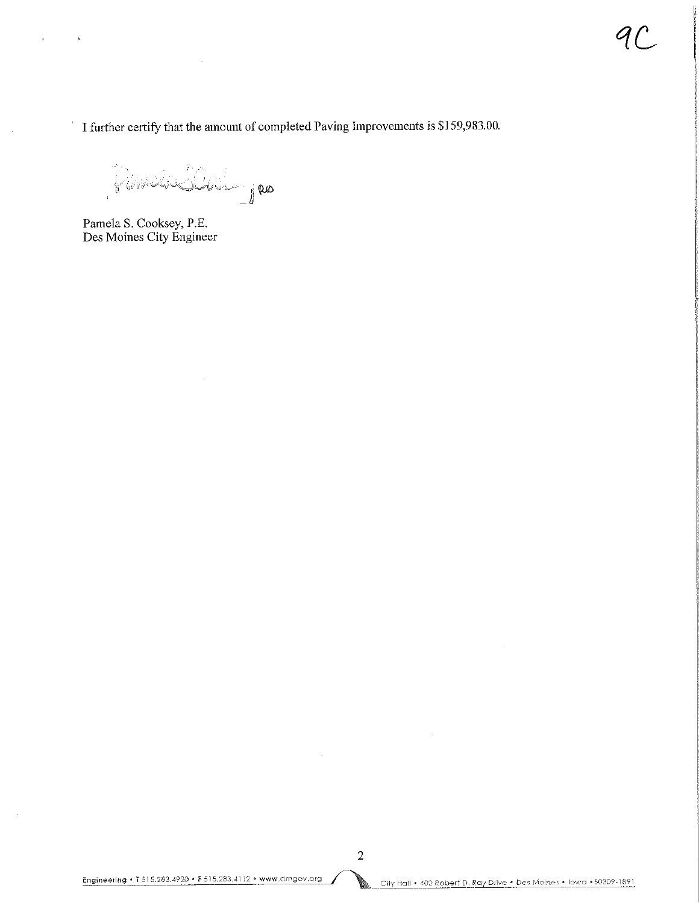I further certify that the amount of completed Paving Improvements is \$159,983.00.

 $i$ wr alfe $\bigcup_{j\in J}a$ 

Pamela S. Cooksey, P.E. Des Moines City Engineer

 $\frac{1}{2}$